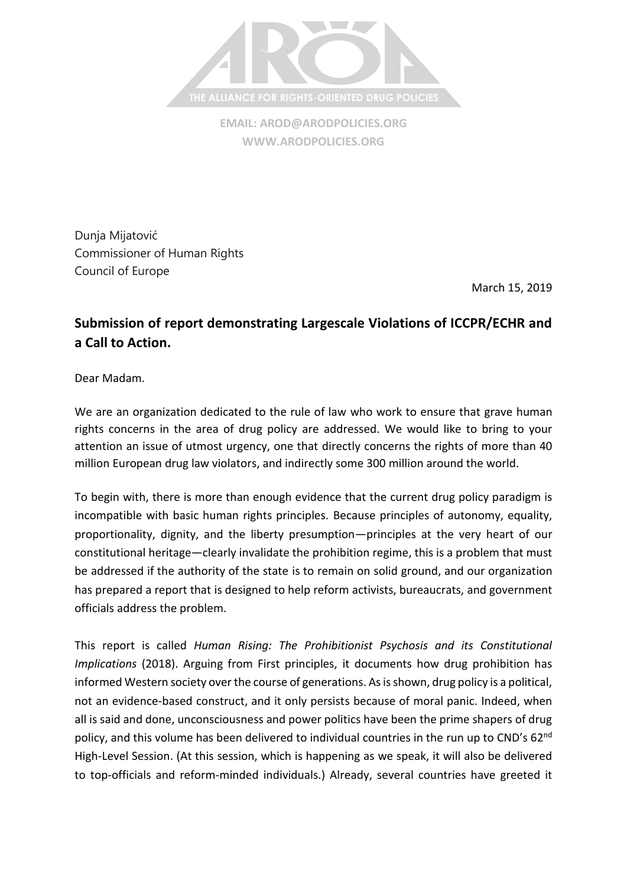

**EMAIL[: AROD@ARODPOLICIES.ORG](mailto:AROD@ARODPOLICIES.ORG) [WWW.ARODPOLICIES.ORG](http://www.arodpolicies.org/)**

Dunja Mijatović Commissioner of Human Rights Council of Europe

March 15, 2019

## **Submission of report demonstrating Largescale Violations of ICCPR/ECHR and a Call to Action.**

Dear Madam.

We are an organization dedicated to the rule of law who work to ensure that grave human rights concerns in the area of drug policy are addressed. We would like to bring to your attention an issue of utmost urgency, one that directly concerns the rights of more than 40 million European drug law violators, and indirectly some 300 million around the world.

To begin with, there is more than enough evidence that the current drug policy paradigm is incompatible with basic human rights principles. Because principles of autonomy, equality, proportionality, dignity, and the liberty presumption—principles at the very heart of our constitutional heritage—clearly invalidate the prohibition regime, this is a problem that must be addressed if the authority of the state is to remain on solid ground, and our organization has prepared a report that is designed to help reform activists, bureaucrats, and government officials address the problem.

This report is called *Human Rising: The Prohibitionist Psychosis and its Constitutional Implications* (2018). Arguing from First principles, it documents how drug prohibition has informed Western society over the course of generations. As is shown, drug policy is a political, not an evidence-based construct, and it only persists because of moral panic. Indeed, when all is said and done, unconsciousness and power politics have been the prime shapers of drug policy, and this volume has been delivered to individual countries in the run up to CND's 62<sup>nd</sup> High-Level Session. (At this session, which is happening as we speak, it will also be delivered to top-officials and reform-minded individuals.) Already, several countries have greeted it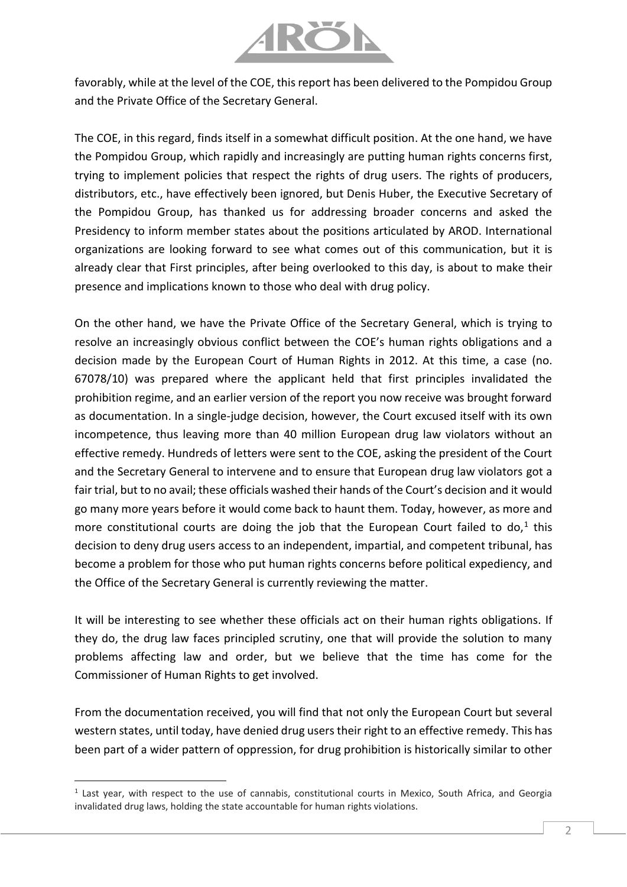

favorably, while at the level of the COE, this report has been delivered to the Pompidou Group and the Private Office of the Secretary General.

The COE, in this regard, finds itself in a somewhat difficult position. At the one hand, we have the Pompidou Group, which rapidly and increasingly are putting human rights concerns first, trying to implement policies that respect the rights of drug users. The rights of producers, distributors, etc., have effectively been ignored, but Denis Huber, the Executive Secretary of the Pompidou Group, has thanked us for addressing broader concerns and asked the Presidency to inform member states about the positions articulated by AROD. International organizations are looking forward to see what comes out of this communication, but it is already clear that First principles, after being overlooked to this day, is about to make their presence and implications known to those who deal with drug policy.

On the other hand, we have the Private Office of the Secretary General, which is trying to resolve an increasingly obvious conflict between the COE's human rights obligations and a decision made by the European Court of Human Rights in 2012. At this time, a case (no. 67078/10) was prepared where the applicant held that first principles invalidated the prohibition regime, and an earlier version of the report you now receive was brought forward as documentation. In a single-judge decision, however, the Court excused itself with its own incompetence, thus leaving more than 40 million European drug law violators without an effective remedy. Hundreds of letters were sent to the COE, asking the president of the Court and the Secretary General to intervene and to ensure that European drug law violators got a fair trial, but to no avail; these officials washed their hands of the Court's decision and it would go many more years before it would come back to haunt them. Today, however, as more and more constitutional courts are doing the job that the European Court failed to do,<sup>1</sup> this decision to deny drug users access to an independent, impartial, and competent tribunal, has become a problem for those who put human rights concerns before political expediency, and the Office of the Secretary General is currently reviewing the matter.

It will be interesting to see whether these officials act on their human rights obligations. If they do, the drug law faces principled scrutiny, one that will provide the solution to many problems affecting law and order, but we believe that the time has come for the Commissioner of Human Rights to get involved.

From the documentation received, you will find that not only the European Court but several western states, until today, have denied drug users their right to an effective remedy. This has been part of a wider pattern of oppression, for drug prohibition is historically similar to other

l

<sup>&</sup>lt;sup>1</sup> Last year, with respect to the use of cannabis, constitutional courts in Mexico, South Africa, and Georgia invalidated drug laws, holding the state accountable for human rights violations.